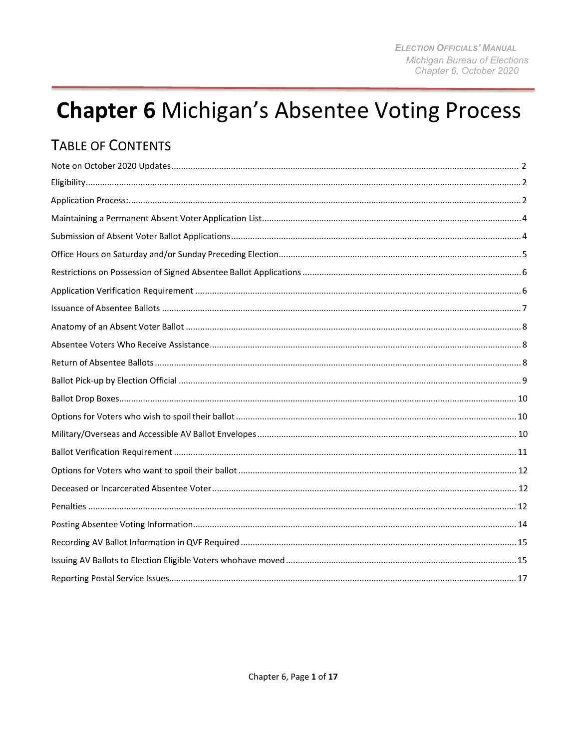# **Chapter 6 Michigan's Absentee Voting Process**

## **TABLE OF CONTENTS**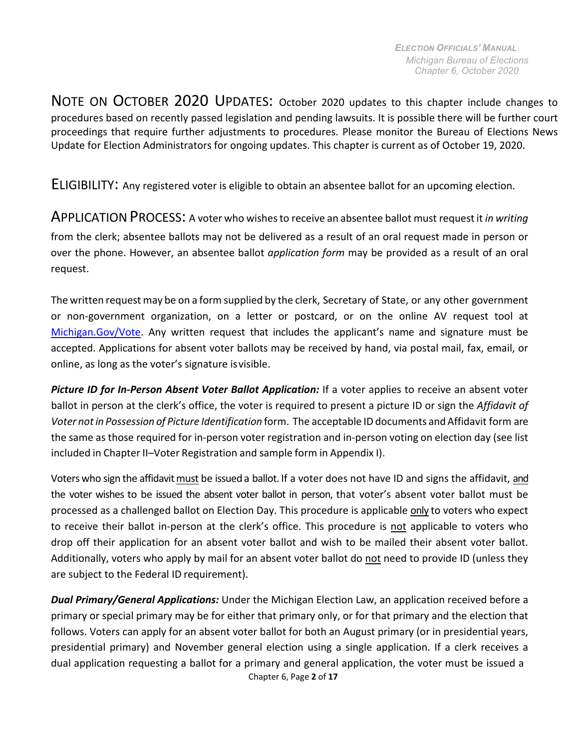<span id="page-1-0"></span>NOTE ON OCTOBER 2020 UPDATES: October 2020 updates to this chapter include changes to procedures based on recently passed legislation and pending lawsuits. It is possible there will be further court proceedings that require further adjustments to procedures. Please monitor the Bureau of Elections News Update for Election Administrators for ongoing updates. This chapter is current as of October 19, 2020.

ELIGIBILITY: Any registered voter is eligible to obtain an absentee ballot for an upcoming election.

<span id="page-1-1"></span>APPLICATION PROCESS: <sup>A</sup> voter who wishesto receive an absentee ballot must request it *in writing*  from the clerk; absentee ballots may not be delivered as a result of an oral request made in person or over the phone. However, an absentee ballot *application form* may be provided as a result of an oral request.

The written request may be on a form supplied by the clerk, Secretary of State, or any other government or non-government organization, on a letter or postcard, or on the online AV request tool at Michigan.Gov/Vote. Any written request that includes the applicant's name and signature must be accepted. Applications for absent voter ballots may be received by hand, via postal mail, fax, email, or online, as long as the voter's signature isvisible.

Picture ID for In-Person Absent Voter Ballot Application: If a voter applies to receive an absent voter ballot in person at the clerk's office, the voter is required to present a picture ID or sign the *Affidavit of Voter notin Possession of Picture Identification* form. The acceptable ID documents and Affidavit form are the same as those required for in-person voter registration and in-person voting on election day (see list included in Chapter II–Voter Registration and sample form in Appendix I).

Voters who sign the affidavit must be issued a ballot. If a voter does not have ID and signs the affidavit, and the voter wishes to be issued the absent voter ballot in person, that voter's absent voter ballot must be processed as a challenged ballot on Election Day. This procedure is applicable only to voters who expect to receive their ballot in-person at the clerk's office. This procedure is not applicable to voters who drop off their application for an absent voter ballot and wish to be mailed their absent voter ballot. Additionally, voters who apply by mail for an absent voter ballot do not need to provide ID (unless they are subject to the Federal ID requirement).

Chapter 6, Page **2** of **17** *Dual Primary/General Applications:* Under the Michigan Election Law, an application received before a primary or special primary may be for either that primary only, or for that primary and the election that follows. Voters can apply for an absent voter ballot for both an August primary (or in presidential years, presidential primary) and November general election using a single application. If a clerk receives a dual application requesting a ballot for a primary and general application, the voter must be issued a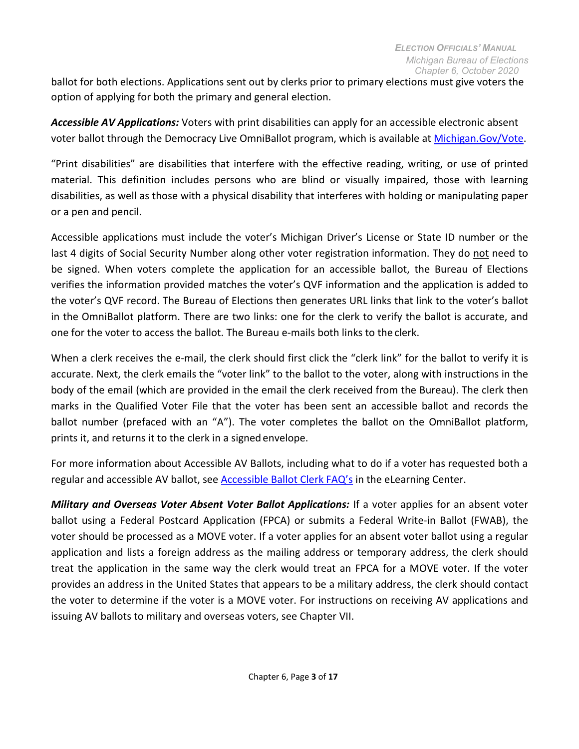ballot for both elections. Applications sent out by clerks prior to primary elections must give voters the option of applying for both the primary and general election.

*Accessible AV Applications:* Voters with print disabilities can apply for an accessible electronic absent voter ballot through the Democracy Live OmniBallot program, which is available at Michigan.Gov/Vote.

"Print disabilities" are disabilities that interfere with the effective reading, writing, or use of printed material. This definition includes persons who are blind or visually impaired, those with learning disabilities, as well as those with a physical disability that interferes with holding or manipulating paper or a pen and pencil.

Accessible applications must include the voter's Michigan Driver's License or State ID number or the last 4 digits of Social Security Number along other voter registration information. They do not need to be signed. When voters complete the application for an accessible ballot, the Bureau of Elections verifies the information provided matches the voter's QVF information and the application is added to the voter's QVF record. The Bureau of Elections then generates URL links that link to the voter's ballot in the OmniBallot platform. There are two links: one for the clerk to verify the ballot is accurate, and one for the voter to access the ballot. The Bureau e-mails both links to the clerk.

When a clerk receives the e-mail, the clerk should first click the "clerk link" for the ballot to verify it is accurate. Next, the clerk emails the "voter link" to the ballot to the voter, along with instructions in the body of the email (which are provided in the email the clerk received from the Bureau). The clerk then marks in the Qualified Voter File that the voter has been sent an accessible ballot and records the ballot number (prefaced with an "A"). The voter completes the ballot on the OmniBallot platform, prints it, and returns it to the clerk in a signed envelope.

For more information about Accessible AV Ballots, including what to do if a voter has requested both a regular and accessible AV ballot, see [Accessible Ballot Clerk FAQ's](https://mielections.csod.com/ui/lms-learning-details/app/material/1beaabb1-4f53-483e-865b-b661915c4bc5) in the eLearning Center.

*Military and Overseas Voter Absent Voter Ballot Applications:* If a voter applies for an absent voter ballot using a Federal Postcard Application (FPCA) or submits a Federal Write-in Ballot (FWAB), the voter should be processed as a MOVE voter. If a voter applies for an absent voter ballot using a regular application and lists a foreign address as the mailing address or temporary address, the clerk should treat the application in the same way the clerk would treat an FPCA for a MOVE voter. If the voter provides an address in the United States that appears to be a military address, the clerk should contact the voter to determine if the voter is a MOVE voter. For instructions on receiving AV applications and issuing AV ballots to military and overseas voters, see Chapter VII.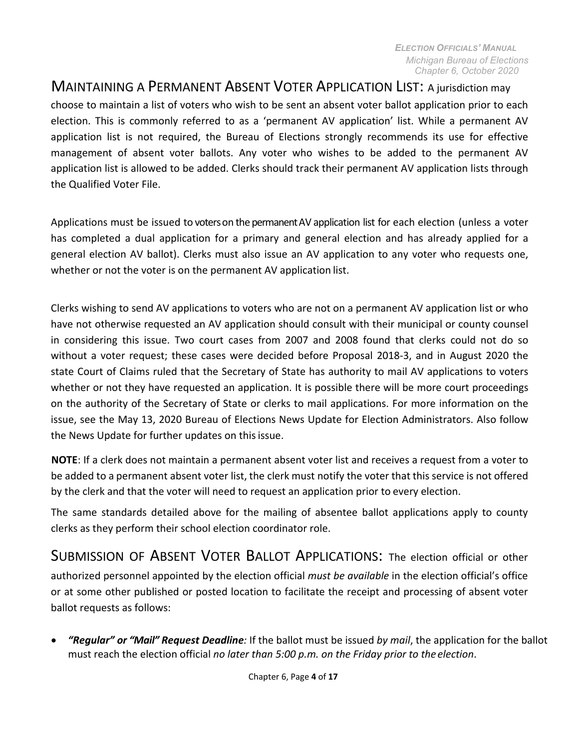## <span id="page-3-0"></span>MAINTAINING A PERMANENT ABSENT VOTER APPLICATION LIST: A jurisdiction may

choose to maintain a list of voters who wish to be sent an absent voter ballot application prior to each election. This is commonly referred to as a 'permanent AV application' list. While a permanent AV application list is not required, the Bureau of Elections strongly recommends its use for effective management of absent voter ballots. Any voter who wishes to be added to the permanent AV application list is allowed to be added. Clerks should track their permanent AV application lists through the Qualified Voter File.

Applications must be issued to voters on the permanent AV application list for each election (unless a voter has completed a dual application for a primary and general election and has already applied for a general election AV ballot). Clerks must also issue an AV application to any voter who requests one, whether or not the voter is on the permanent AV application list.

Clerks wishing to send AV applications to voters who are not on a permanent AV application list or who have not otherwise requested an AV application should consult with their municipal or county counsel in considering this issue. Two court cases from 2007 and 2008 found that clerks could not do so without a voter request; these cases were decided before Proposal 2018-3, and in August 2020 the state Court of Claims ruled that the Secretary of State has authority to mail AV applications to voters whether or not they have requested an application. It is possible there will be more court proceedings on the authority of the Secretary of State or clerks to mail applications. For more information on the issue, see the May 13, 2020 Bureau of Elections News Update for Election Administrators. Also follow the News Update for further updates on this issue.

**NOTE**: If a clerk does not maintain a permanent absent voter list and receives a request from a voter to be added to a permanent absent voter list, the clerk must notify the voter that this service is not offered by the clerk and that the voter will need to request an application prior to every election.

The same standards detailed above for the mailing of absentee ballot applications apply to county clerks as they perform their school election coordinator role.

<span id="page-3-1"></span>SUBMISSION OF ABSENT VOTER BALLOT APPLICATIONS: The election official or other authorized personnel appointed by the election official *must be available* in the election official's office or at some other published or posted location to facilitate the receipt and processing of absent voter ballot requests as follows:

• *"Regular" or "Mail" Request Deadline:* If the ballot must be issued *by mail*, the application for the ballot must reach the election official *no later than 5:00 p.m. on the Friday prior to the election*.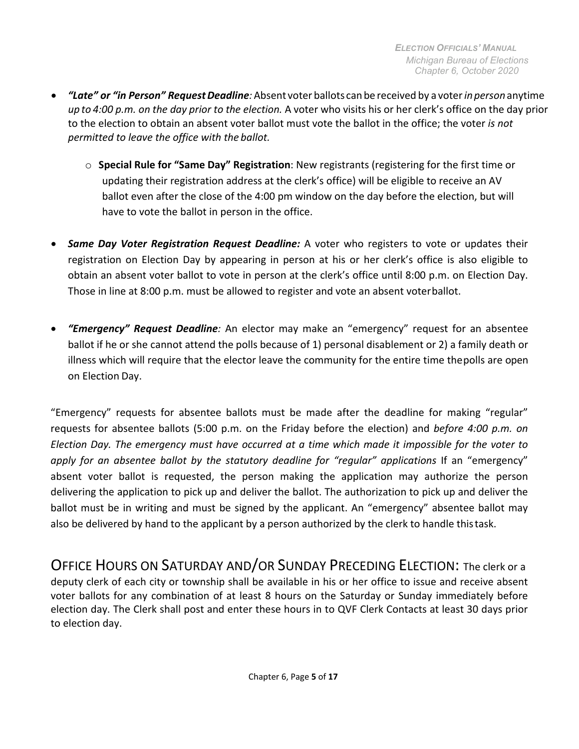- *"Late" or "in Person" RequestDeadline:*Absent voter ballots canbe received by a voter*inperson* anytime *up to 4:00 p.m. on the day prior to the election.* A voter who visits his or her clerk's office on the day prior to the election to obtain an absent voter ballot must vote the ballot in the office; the voter *is not permitted to leave the office with the ballot.*
	- o **Special Rule for "Same Day" Registration**: New registrants (registering for the first time or updating their registration address at the clerk's office) will be eligible to receive an AV ballot even after the close of the 4:00 pm window on the day before the election, but will have to vote the ballot in person in the office.
- *Same Day Voter Registration Request Deadline:* A voter who registers to vote or updates their registration on Election Day by appearing in person at his or her clerk's office is also eligible to obtain an absent voter ballot to vote in person at the clerk's office until 8:00 p.m. on Election Day. Those in line at 8:00 p.m. must be allowed to register and vote an absent voterballot.
- *"Emergency" Request Deadline:* An elector may make an "emergency" request for an absentee ballot if he or she cannot attend the polls because of 1) personal disablement or 2) a family death or illness which will require that the elector leave the community for the entire time thepolls are open on Election Day.

"Emergency" requests for absentee ballots must be made after the deadline for making "regular" requests for absentee ballots (5:00 p.m. on the Friday before the election) and *before 4:00 p.m. on Election Day. The emergency must have occurred at a time which made it impossible for the voter to*  apply for an absentee ballot by the statutory deadline for "regular" applications If an "emergency" absent voter ballot is requested, the person making the application may authorize the person delivering the application to pick up and deliver the ballot. The authorization to pick up and deliver the ballot must be in writing and must be signed by the applicant. An "emergency" absentee ballot may also be delivered by hand to the applicant by a person authorized by the clerk to handle thistask.

<span id="page-4-0"></span>OFFICE HOURS ON SATURDAY AND/OR SUNDAY PRECEDING ELECTION: The clerk or a deputy clerk of each city or township shall be available in his or her office to issue and receive absent voter ballots for any combination of at least 8 hours on the Saturday or Sunday immediately before election day. The Clerk shall post and enter these hours in to QVF Clerk Contacts at least 30 days prior to election day.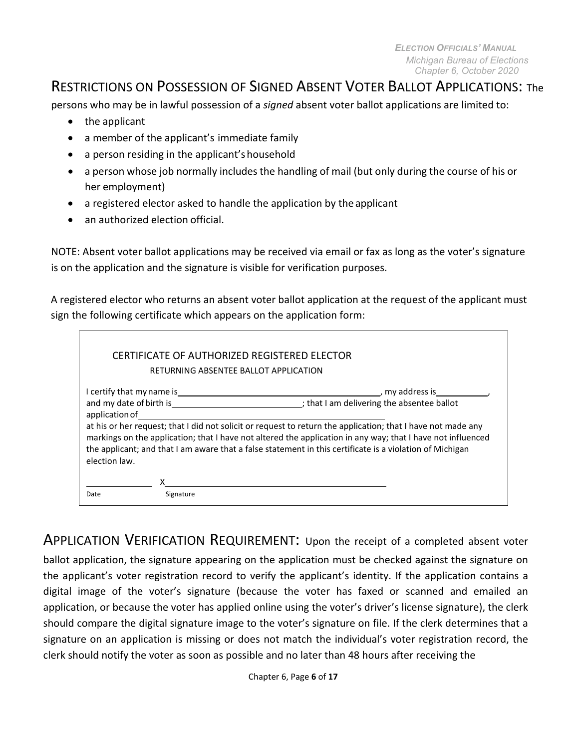## <span id="page-5-0"></span>RESTRICTIONS ON POSSESSION OF SIGNED ABSENT VOTER BALLOT APPLICATIONS: The

persons who may be in lawful possession of a *signed* absent voter ballot applications are limited to:

- the applicant
- a member of the applicant's immediate family
- a person residing in the applicant's household
- a person whose job normally includes the handling of mail (but only during the course of his or her employment)
- a registered elector asked to handle the application by the applicant
- an authorized election official.

NOTE: Absent voter ballot applications may be received via email or fax as long as the voter's signature is on the application and the signature is visible for verification purposes.

A registered elector who returns an absent voter ballot application at the request of the applicant must sign the following certificate which appears on the application form:

|                                                                                                                                                                                                                                                                                                                                                          | CERTIFICATE OF AUTHORIZED REGISTERED ELECTOR                |  |  |
|----------------------------------------------------------------------------------------------------------------------------------------------------------------------------------------------------------------------------------------------------------------------------------------------------------------------------------------------------------|-------------------------------------------------------------|--|--|
|                                                                                                                                                                                                                                                                                                                                                          | RETURNING ABSENTEE BALLOT APPLICATION                       |  |  |
| certify that my name is<br>and my date of birth is and my date of birth is<br>application of                                                                                                                                                                                                                                                             | my address is<br>; that I am delivering the absentee ballot |  |  |
| at his or her request; that I did not solicit or request to return the application; that I have not made any<br>markings on the application; that I have not altered the application in any way; that I have not influenced<br>the applicant; and that I am aware that a false statement in this certificate is a violation of Michigan<br>election law. |                                                             |  |  |
| Date                                                                                                                                                                                                                                                                                                                                                     | Signature                                                   |  |  |

<span id="page-5-1"></span>APPLICATION VERIFICATION REQUIREMENT: Upon the receipt of a completed absent voter

ballot application, the signature appearing on the application must be checked against the signature on the applicant's voter registration record to verify the applicant's identity. If the application contains a digital image of the voter's signature (because the voter has faxed or scanned and emailed an application, or because the voter has applied online using the voter's driver's license signature), the clerk should compare the digital signature image to the voter's signature on file. If the clerk determines that a signature on an application is missing or does not match the individual's voter registration record, the clerk should notify the voter as soon as possible and no later than 48 hours after receiving the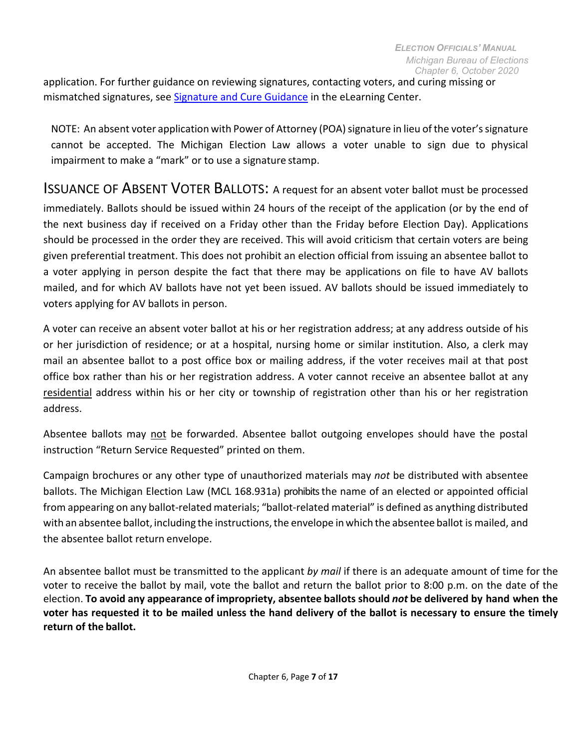application. For further guidance on reviewing signatures, contacting voters, and curing missing or mismatched signatures, see [Signature and Cure Guidance](https://mielections.csod.com/ui/lms-learning-details/app/material/d68690f6-636e-42dc-986c-d125f2e35c7c) in the eLearning Center.

NOTE: An absent voter application with Power of Attorney (POA) signature in lieu of the voter's signature cannot be accepted. The Michigan Election Law allows a voter unable to sign due to physical impairment to make a "mark" or to use a signature stamp.

<span id="page-6-0"></span>ISSUANCE OF ABSENT VOTER BALLOTS: A request for an absent voter ballot must be processed immediately. Ballots should be issued within 24 hours of the receipt of the application (or by the end of the next business day if received on a Friday other than the Friday before Election Day). Applications should be processed in the order they are received. This will avoid criticism that certain voters are being given preferential treatment. This does not prohibit an election official from issuing an absentee ballot to a voter applying in person despite the fact that there may be applications on file to have AV ballots mailed, and for which AV ballots have not yet been issued. AV ballots should be issued immediately to voters applying for AV ballots in person.

A voter can receive an absent voter ballot at his or her registration address; at any address outside of his or her jurisdiction of residence; or at a hospital, nursing home or similar institution. Also, a clerk may mail an absentee ballot to a post office box or mailing address, if the voter receives mail at that post office box rather than his or her registration address. A voter cannot receive an absentee ballot at any residential address within his or her city or township of registration other than his or her registration address.

Absentee ballots may not be forwarded. Absentee ballot outgoing envelopes should have the postal instruction "Return Service Requested" printed on them.

Campaign brochures or any other type of unauthorized materials may *not* be distributed with absentee ballots. The Michigan Election Law (MCL 168.931a) prohibits the name of an elected or appointed official from appearing on any ballot-related materials; "ballot-related material" is defined as anything distributed with an absentee ballot, including the instructions, the envelope in which the absentee ballot is mailed, and the absentee ballot return envelope.

An absentee ballot must be transmitted to the applicant *by mail* if there is an adequate amount of time for the voter to receive the ballot by mail, vote the ballot and return the ballot prior to 8:00 p.m. on the date of the election. **To avoid any appearance of impropriety, absentee ballots should** *not* **be delivered by hand when the voter has requested it to be mailed unless the hand delivery of the ballot is necessary to ensure the timely return of the ballot.**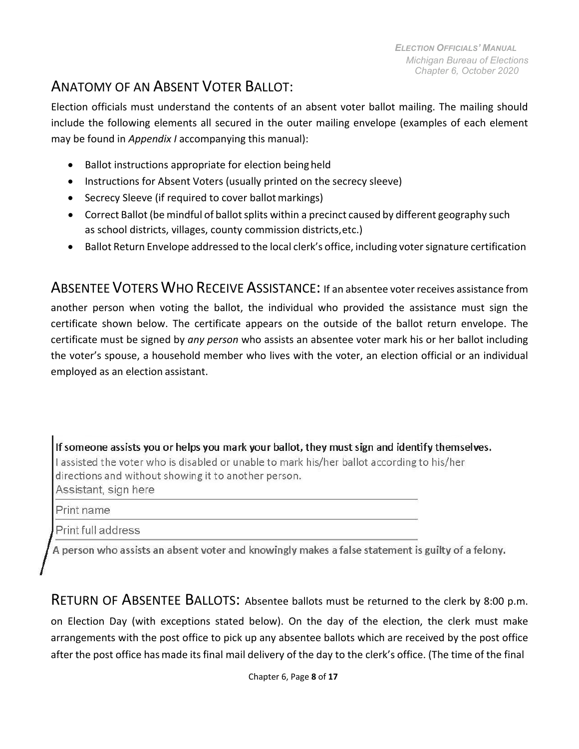## <span id="page-7-0"></span>ANATOMY OF AN ABSENT VOTER BALLOT:

Election officials must understand the contents of an absent voter ballot mailing. The mailing should include the following elements all secured in the outer mailing envelope (examples of each element may be found in *Appendix I* accompanying this manual):

- Ballot instructions appropriate for election being held
- Instructions for Absent Voters (usually printed on the secrecy sleeve)
- Secrecy Sleeve (if required to cover ballot markings)
- Correct Ballot (be mindful of ballot splits within a precinct caused by different geography such as school districts, villages, county commission districts,etc.)
- Ballot Return Envelope addressed to the local clerk's office, including votersignature certification

<span id="page-7-1"></span>ABSENTEE VOTERS WHO RECEIVE ASSISTANCE: If an absentee voter receives assistance from another person when voting the ballot, the individual who provided the assistance must sign the certificate shown below. The certificate appears on the outside of the ballot return envelope. The certificate must be signed by *any person* who assists an absentee voter mark his or her ballot including the voter's spouse, a household member who lives with the voter, an election official or an individual employed as an election assistant.

If someone assists you or helps you mark your ballot, they must sign and identify themselves. I assisted the voter who is disabled or unable to mark his/her ballot according to his/her directions and without showing it to another person. Assistant, sign here

Print name

Print full address

A person who assists an absent voter and knowingly makes a false statement is guilty of a felony.

<span id="page-7-2"></span>RETURN OF ABSENTEE BALLOTS: Absentee ballots must be returned to the clerk by 8:00 p.m. on Election Day (with exceptions stated below). On the day of the election, the clerk must make arrangements with the post office to pick up any absentee ballots which are received by the post office after the post office has made its final mail delivery of the day to the clerk's office. (The time of the final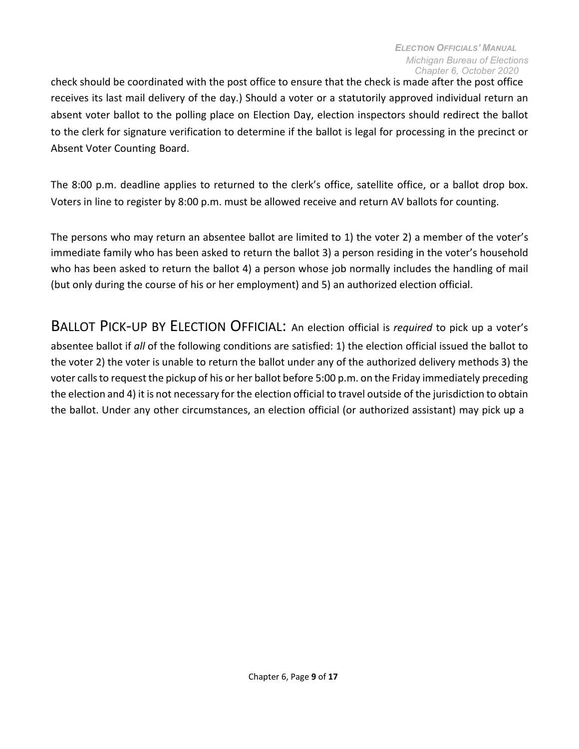check should be coordinated with the post office to ensure that the check is made after the post office receives its last mail delivery of the day.) Should a voter or a statutorily approved individual return an absent voter ballot to the polling place on Election Day, election inspectors should redirect the ballot to the clerk for signature verification to determine if the ballot is legal for processing in the precinct or Absent Voter Counting Board.

The 8:00 p.m. deadline applies to returned to the clerk's office, satellite office, or a ballot drop box. Voters in line to register by 8:00 p.m. must be allowed receive and return AV ballots for counting.

The persons who may return an absentee ballot are limited to 1) the voter 2) a member of the voter's immediate family who has been asked to return the ballot 3) a person residing in the voter's household who has been asked to return the ballot 4) a person whose job normally includes the handling of mail (but only during the course of his or her employment) and 5) an authorized election official.

<span id="page-8-0"></span>BALLOT PICK-UP BY ELECTION OFFICIAL: An election official is *required* to pick up a voter's absentee ballot if *all* of the following conditions are satisfied: 1) the election official issued the ballot to the voter 2) the voter is unable to return the ballot under any of the authorized delivery methods 3) the voter calls to request the pickup of his or her ballot before 5:00 p.m. on the Friday immediately preceding the election and 4) it is not necessary for the election official to travel outside of the jurisdiction to obtain the ballot. Under any other circumstances, an election official (or authorized assistant) may pick up a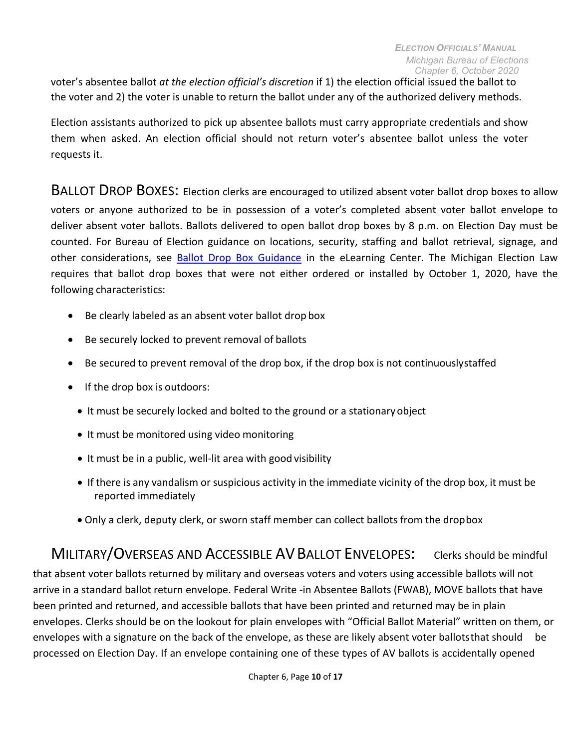voter's absentee ballot *at the election official's discretion* if 1) the election official issued the ballot to the voter and 2) the voter is unable to return the ballot under any of the authorized delivery methods.

Election assistants authorized to pick up absentee ballots must carry appropriate credentials and show them when asked. An election official should not return voter's absentee ballot unless the voter requests it.

BALLOT DROP BOXES: Election clerks are encouraged to utilized absent voter ballot drop boxes to allow voters or anyone authorized to be in possession of a voter's completed absent voter ballot envelope to deliver absent voter ballots. Ballots delivered to open ballot drop boxes by 8 p.m. on Election Day must be counted. For Bureau of Election guidance on locations, security, staffing and ballot retrieval, signage, and other considerations, see [Ballot Drop Box Guidance](https://mielections.csod.com/ui/lms-learning-details/app/material/ab54e4a1-054f-4a30-a026-3211d26c7001) in the eLearning Center. The Michigan Election Law requires that ballot drop boxes that were not either ordered or installed by October 1, 2020, have the following characteristics:

- Be clearly labeled as an absent voter ballot drop box
- Be securely locked to prevent removal of ballots
- Be secured to prevent removal of the drop box, if the drop box is not continuouslystaffed
- If the drop box is outdoors:
	- It must be securely locked and bolted to the ground or a stationary object
	- It must be monitored using video monitoring
	- It must be in a public, well-lit area with good visibility
	- If there is any vandalism or suspicious activity in the immediate vicinity of the drop box, it must be reported immediately
	- Only a clerk, deputy clerk, or sworn staff member can collect ballots from the dropbox

MILITARY/OVERSEAS AND ACCESSIBLE AV BALLOT ENVELOPES: Clerks should be mindful that absent voter ballots returned by military and overseas voters and voters using accessible ballots will not arrive in a standard ballot return envelope. Federal Write -in Absentee Ballots (FWAB), MOVE ballots that have been printed and returned, and accessible ballots that have been printed and returned may be in plain envelopes. Clerks should be on the lookout for plain envelopes with "Official Ballot Material" written on them, or envelopes with a signature on the back of the envelope, as these are likely absent voter ballotsthat should be processed on Election Day. If an envelope containing one of these types of AV ballots is accidentally opened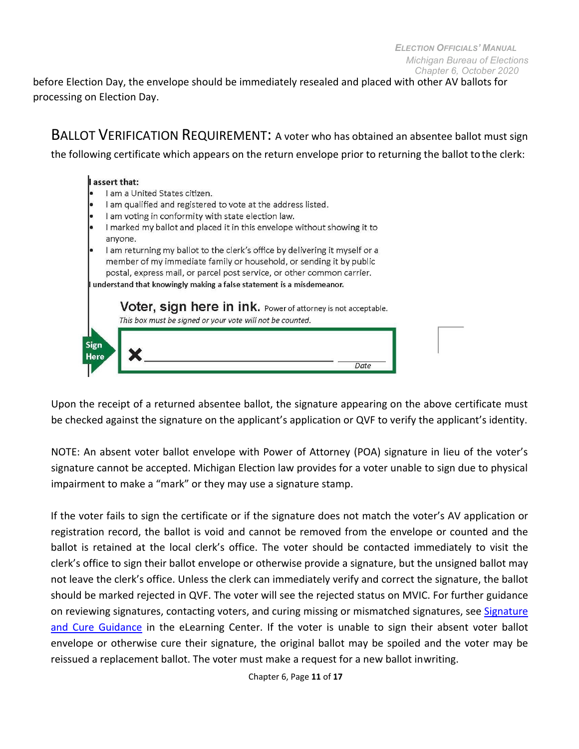before Election Day, the envelope should be immediately resealed and placed with other AV ballots for processing on Election Day.

<span id="page-10-1"></span>BALLOT VERIFICATION REQUIREMENT: <sup>A</sup> voter who has obtained an absentee ballot must sign the following certificate which appears on the return envelope prior to returning the ballot to the clerk:

#### I assert that:

- I am a United States citizen.
- I am qualified and registered to vote at the address listed.
- I am voting in conformity with state election law.
- I marked my ballot and placed it in this envelope without showing it to anyone.
- I am returning my ballot to the clerk's office by delivering it myself or a member of my immediate family or household, or sending it by public postal, express mail, or parcel post service, or other common carrier. understand that knowingly making a false statement is a misdemeanor.

**Voter, sign here in ink.** Power of attorney is not acceptable. This box must be signed or your vote will not be counted. Sign Here Date

Upon the receipt of a returned absentee ballot, the signature appearing on the above certificate must be checked against the signature on the applicant's application or QVF to verify the applicant's identity.

NOTE: An absent voter ballot envelope with Power of Attorney (POA) signature in lieu of the voter's signature cannot be accepted. Michigan Election law provides for a voter unable to sign due to physical impairment to make a "mark" or they may use a signature stamp.

<span id="page-10-0"></span>If the voter fails to sign the certificate or if the signature does not match the voter's AV application or registration record, the ballot is void and cannot be removed from the envelope or counted and the ballot is retained at the local clerk's office. The voter should be contacted immediately to visit the clerk's office to sign their ballot envelope or otherwise provide a signature, but the unsigned ballot may not leave the clerk's office. Unless the clerk can immediately verify and correct the signature, the ballot should be marked rejected in QVF. The voter will see the rejected status on MVIC. For further guidance on reviewing signatures, contacting voters, and curing missing or mismatched signatures, see [Signature](https://mielections.csod.com/ui/lms-learning-details/app/material/d68690f6-636e-42dc-986c-d125f2e35c7c) [and Cure Guidance](https://mielections.csod.com/ui/lms-learning-details/app/material/d68690f6-636e-42dc-986c-d125f2e35c7c) in the eLearning Center. If the voter is unable to sign their absent voter ballot envelope or otherwise cure their signature, the original ballot may be spoiled and the voter may be reissued a replacement ballot. The voter must make a request for a new ballot inwriting.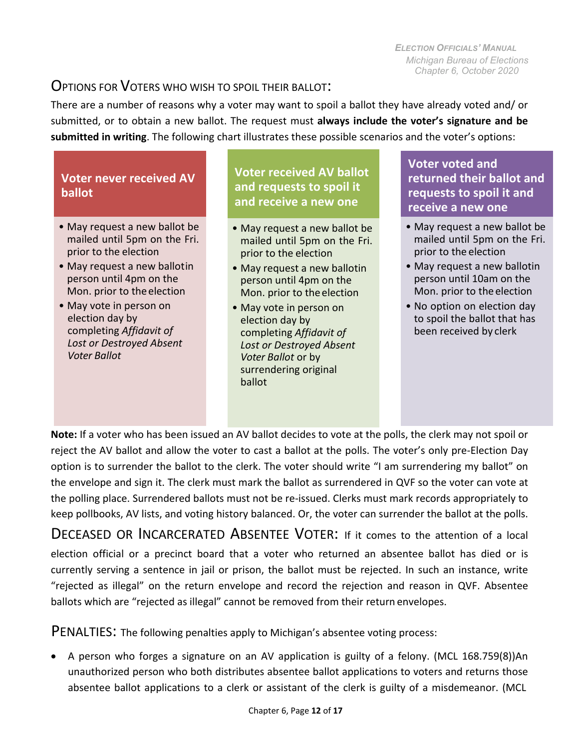### OPTIONS FOR VOTERS WHO WISH TO SPOIL THEIR BALLOT:

There are a number of reasons why a voter may want to spoil a ballot they have already voted and/ or submitted, or to obtain a new ballot. The request must **always include the voter's signature and be submitted in writing**. The following chart illustrates these possible scenarios and the voter's options:

#### **Voter never received AV ballot**

- May request a new ballot be mailed until 5pm on the Fri. prior to the election
- May request a new ballotin person until 4pm on the Mon. prior to the election
- May vote in person on election day by completing *Affidavit of Lost or Destroyed Absent Voter Ballot*

#### **Voter received AV ballot and requests to spoil it and receive a new one**

- May request a new ballot be mailed until 5pm on the Fri. prior to the election
- May request a new ballotin person until 4pm on the Mon. prior to the election
- May vote in person on election day by completing *Affidavit of Lost or Destroyed Absent Voter Ballot* or by surrendering original ballot

#### **Voter voted and returned their ballot and requests to spoil it and receive a new one**

- May request a new ballot be mailed until 5pm on the Fri. prior to the election
- May request a new ballotin person until 10am on the Mon. prior to the election
- No option on election day to spoil the ballot that has been received by clerk

**Note:** If a voter who has been issued an AV ballot decides to vote at the polls, the clerk may not spoil or reject the AV ballot and allow the voter to cast a ballot at the polls. The voter's only pre-Election Day option is to surrender the ballot to the clerk. The voter should write "I am surrendering my ballot" on the envelope and sign it. The clerk must mark the ballot as surrendered in QVF so the voter can vote at the polling place. Surrendered ballots must not be re-issued. Clerks must mark records appropriately to keep pollbooks, AV lists, and voting history balanced. Or, the voter can surrender the ballot at the polls.

DECEASED OR INCARCERATED ABSENTEE VOTER: If it comes to the attention of a local election official or a precinct board that a voter who returned an absentee ballot has died or is currently serving a sentence in jail or prison, the ballot must be rejected. In such an instance, write "rejected as illegal" on the return envelope and record the rejection and reason in QVF. Absentee ballots which are "rejected as illegal" cannot be removed from their return envelopes.

<span id="page-11-0"></span>PENALTIES: The following penalties apply to Michigan's absentee voting process:

• A person who forges a signature on an AV application is guilty of a felony. (MCL 168.759(8))An unauthorized person who both distributes absentee ballot applications to voters and returns those absentee ballot applications to a clerk or assistant of the clerk is guilty of a misdemeanor. (MCL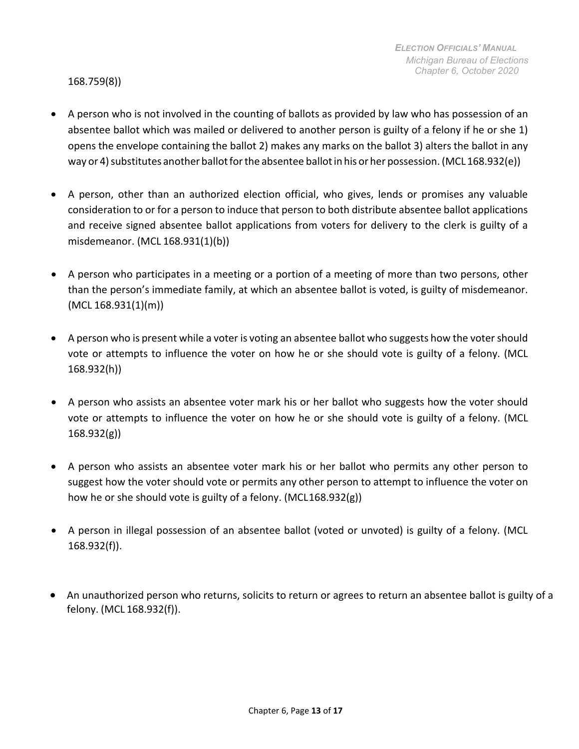168.759(8))

- A person who is not involved in the counting of ballots as provided by law who has possession of an absentee ballot which was mailed or delivered to another person is guilty of a felony if he or she 1) opens the envelope containing the ballot 2) makes any marks on the ballot 3) alters the ballot in any way or 4) substitutes another ballot for the absentee ballot in his or her possession. (MCL 168.932(e))
- A person, other than an authorized election official, who gives, lends or promises any valuable consideration to or for a person to induce that person to both distribute absentee ballot applications and receive signed absentee ballot applications from voters for delivery to the clerk is guilty of a misdemeanor. (MCL 168.931(1)(b))
- A person who participates in a meeting or a portion of a meeting of more than two persons, other than the person's immediate family, at which an absentee ballot is voted, is guilty of misdemeanor. (MCL 168.931(1)(m))
- A person who is present while a voter is voting an absentee ballot who suggests how the voter should vote or attempts to influence the voter on how he or she should vote is guilty of a felony. (MCL 168.932(h))
- A person who assists an absentee voter mark his or her ballot who suggests how the voter should vote or attempts to influence the voter on how he or she should vote is guilty of a felony. (MCL 168.932(g))
- A person who assists an absentee voter mark his or her ballot who permits any other person to suggest how the voter should vote or permits any other person to attempt to influence the voter on how he or she should vote is guilty of a felony. (MCL168.932(g))
- A person in illegal possession of an absentee ballot (voted or unvoted) is guilty of a felony. (MCL 168.932(f)).
- An unauthorized person who returns, solicits to return or agrees to return an absentee ballot is guilty of a felony. (MCL 168.932(f)).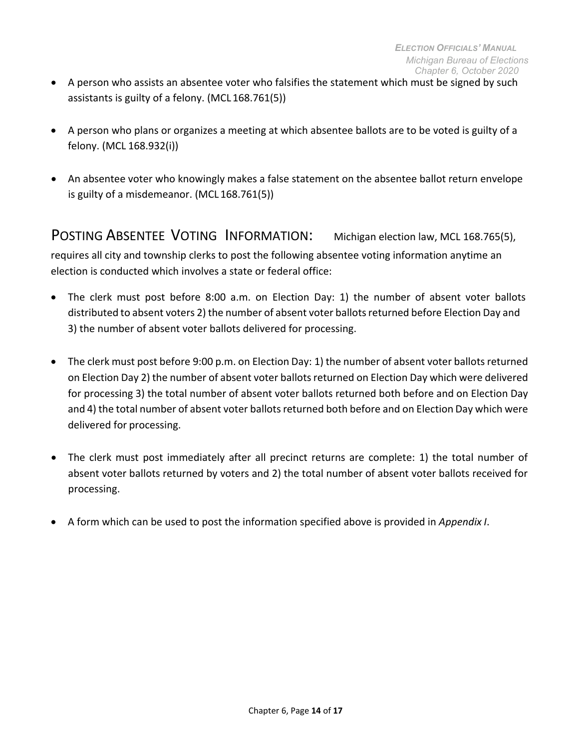- <span id="page-13-1"></span>• A person who assists an absentee voter who falsifies the statement which must be signed by such assistants is guilty of a felony. (MCL 168.761(5))
- A person who plans or organizes a meeting at which absentee ballots are to be voted is guilty of a felony. (MCL 168.932(i))
- An absentee voter who knowingly makes a false statement on the absentee ballot return envelope is guilty of a misdemeanor. (MCL 168.761(5))

<span id="page-13-0"></span>POSTING ABSENTEE VOTING INFORMATION: Michigan election law, MCL 168.765(5), requires all city and township clerks to post the following absentee voting information anytime an election is conducted which involves a state or federal office:

- The clerk must post before 8:00 a.m. on Election Day: 1) the number of absent voter ballots distributed to absent voters 2) the number of absent voter ballotsreturned before Election Day and 3) the number of absent voter ballots delivered for processing.
- The clerk must post before 9:00 p.m. on Election Day: 1) the number of absent voter ballots returned on Election Day 2) the number of absent voter ballots returned on Election Day which were delivered for processing 3) the total number of absent voter ballots returned both before and on Election Day and 4) the total number of absent voter ballots returned both before and on Election Day which were delivered for processing.
- The clerk must post immediately after all precinct returns are complete: 1) the total number of absent voter ballots returned by voters and 2) the total number of absent voter ballots received for processing.
- A form which can be used to post the information specified above is provided in *Appendix I*.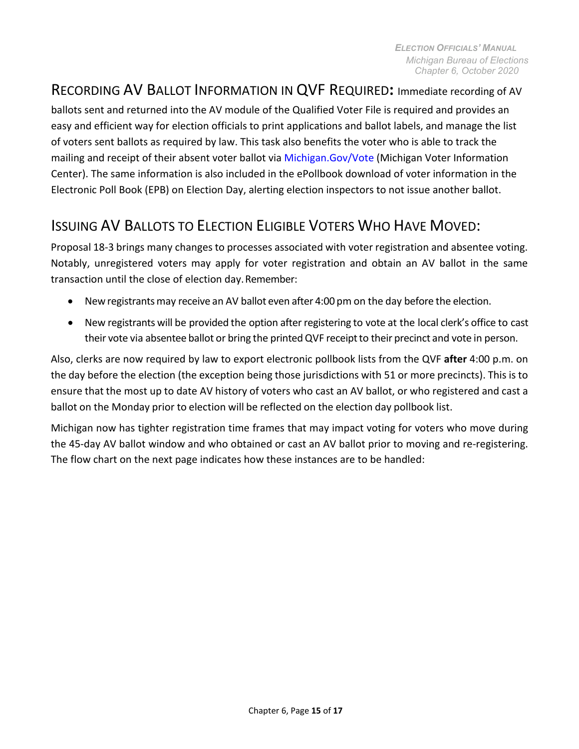## RECORDING AV BALLOT INFORMATION IN QVF REQUIRED**:** Immediate recording of AV

ballots sent and returned into the AV module of the Qualified Voter File is required and provides an easy and efficient way for election officials to print applications and ballot labels, and manage the list of voters sent ballots as required by law. This task also benefits the voter who is able to track the mailing and receipt of their absent voter ballot via [Michigan.Gov/Vote \(](http://www.mi.gov/vote)Michigan Voter Information Center). The same information is also included in the ePollbook download of voter information in the Electronic Poll Book (EPB) on Election Day, alerting election inspectors to not issue another ballot.

## <span id="page-14-0"></span>ISSUING AV BALLOTS TO ELECTION ELIGIBLE VOTERS WHO HAVE MOVED:

Proposal 18-3 brings many changes to processes associated with voter registration and absentee voting. Notably, unregistered voters may apply for voter registration and obtain an AV ballot in the same transaction until the close of election day.Remember:

- New registrants may receive an AV ballot even after 4:00 pm on the day before the election.
- New registrants will be provided the option after registering to vote at the local clerk's office to cast their vote via absentee ballot or bring the printedQVF receiptto their precinct and vote in person.

Also, clerks are now required by law to export electronic pollbook lists from the QVF **after** 4:00 p.m. on the day before the election (the exception being those jurisdictions with 51 or more precincts). This is to ensure that the most up to date AV history of voters who cast an AV ballot, or who registered and cast a ballot on the Monday prior to election will be reflected on the election day pollbook list.

Michigan now has tighter registration time frames that may impact voting for voters who move during the 45-day AV ballot window and who obtained or cast an AV ballot prior to moving and re-registering. The flow chart on the next page indicates how these instances are to be handled: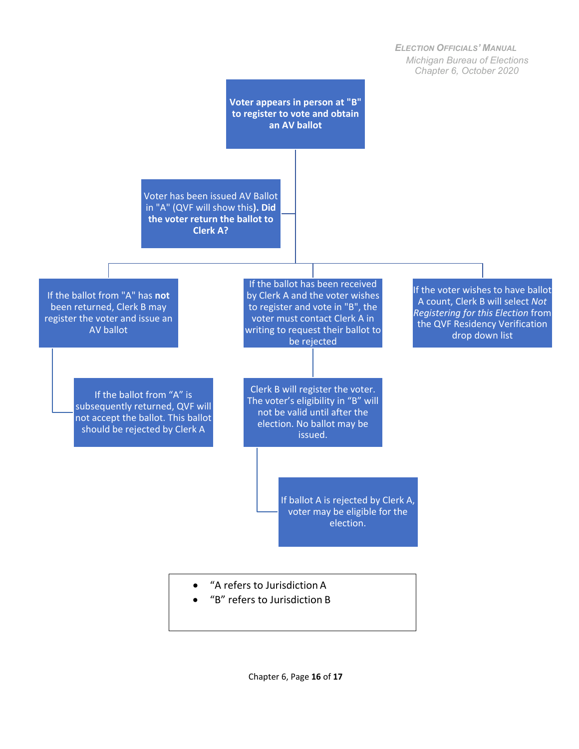